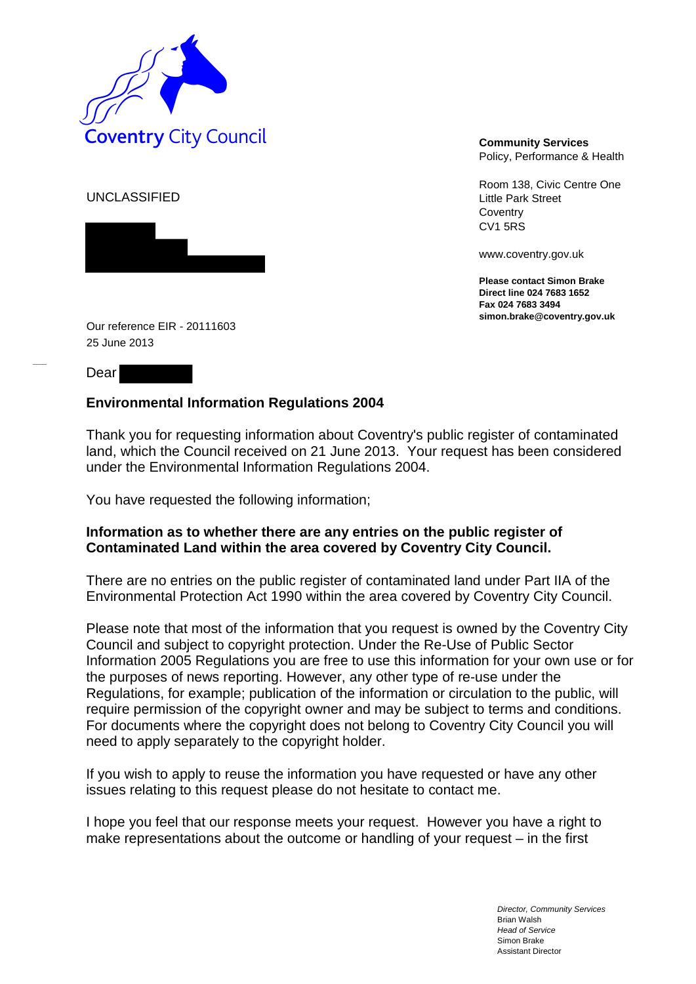

Policy, Performance & Health

Room 138, Civic Centre One Little Park Street **Coventry** CV1 5RS

www.coventry.gov.uk

**Please contact Simon Brake Direct line 024 7683 1652 Fax 024 7683 3494 simon.brake@coventry.gov.uk** 

UNCLASSIFIED



Our reference EIR - 20111603 25 June 2013

Dear

## **Environmental Information Regulations 2004**

Thank you for requesting information about Coventry's public register of contaminated land, which the Council received on 21 June 2013. Your request has been considered under the Environmental Information Regulations 2004.

You have requested the following information;

## **Information as to whether there are any entries on the public register of Contaminated Land within the area covered by Coventry City Council.**

There are no entries on the public register of contaminated land under Part IIA of the Environmental Protection Act 1990 within the area covered by Coventry City Council.

Please note that most of the information that you request is owned by the Coventry City Council and subject to copyright protection. Under the Re-Use of Public Sector Information 2005 Regulations you are free to use this information for your own use or for the purposes of news reporting. However, any other type of re-use under the Regulations, for example; publication of the information or circulation to the public, will require permission of the copyright owner and may be subject to terms and conditions. For documents where the copyright does not belong to Coventry City Council you will need to apply separately to the copyright holder.

If you wish to apply to reuse the information you have requested or have any other issues relating to this request please do not hesitate to contact me.

I hope you feel that our response meets your request. However you have a right to make representations about the outcome or handling of your request – in the first

> *Director, Community Services* Brian Walsh *Head of Service* Simon Brake Assistant Director